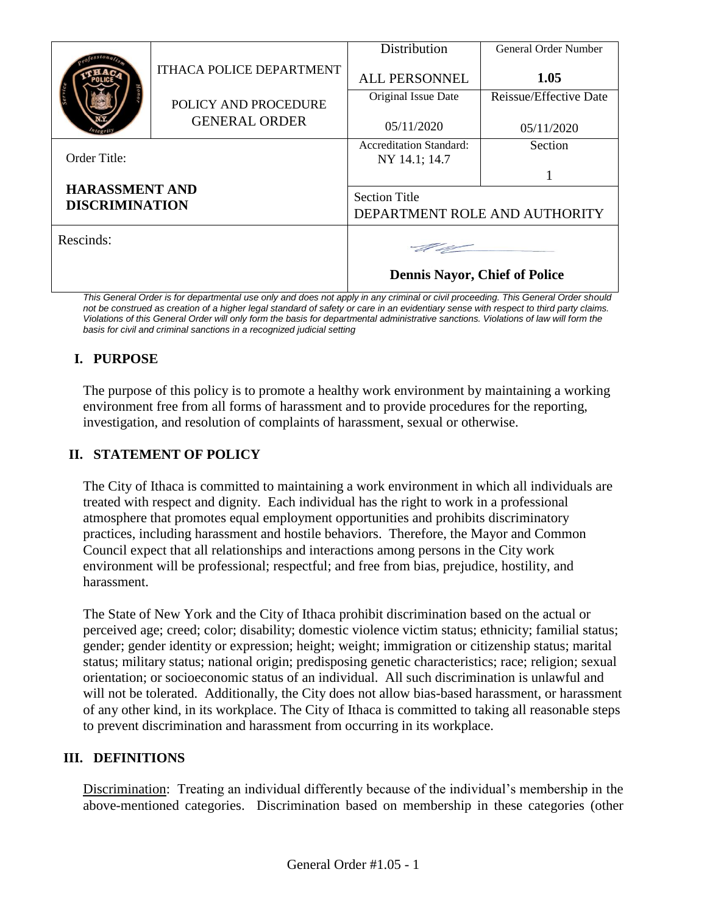|                                                                | <b>ITHACA POLICE DEPARTMENT</b>              | Distribution                                          | General Order Number   |
|----------------------------------------------------------------|----------------------------------------------|-------------------------------------------------------|------------------------|
|                                                                |                                              | <b>ALL PERSONNEL</b>                                  | 1.05                   |
|                                                                | POLICY AND PROCEDURE<br><b>GENERAL ORDER</b> | Original Issue Date                                   | Reissue/Effective Date |
|                                                                |                                              | 05/11/2020                                            | 05/11/2020             |
| Order Title:<br><b>HARASSMENT AND</b><br><b>DISCRIMINATION</b> |                                              | <b>Accreditation Standard:</b><br>NY 14.1; 14.7       | Section                |
|                                                                |                                              |                                                       |                        |
|                                                                |                                              | <b>Section Title</b><br>DEPARTMENT ROLE AND AUTHORITY |                        |
| Rescinds:                                                      |                                              |                                                       |                        |
|                                                                |                                              | <b>Dennis Nayor, Chief of Police</b>                  |                        |

*This General Order is for departmental use only and does not apply in any criminal or civil proceeding. This General Order should not be construed as creation of a higher legal standard of safety or care in an evidentiary sense with respect to third party claims. Violations of this General Order will only form the basis for departmental administrative sanctions. Violations of law will form the basis for civil and criminal sanctions in a recognized judicial setting*

# **I. PURPOSE**

The purpose of this policy is to promote a healthy work environment by maintaining a working environment free from all forms of harassment and to provide procedures for the reporting, investigation, and resolution of complaints of harassment, sexual or otherwise.

# **II. STATEMENT OF POLICY**

The City of Ithaca is committed to maintaining a work environment in which all individuals are treated with respect and dignity. Each individual has the right to work in a professional atmosphere that promotes equal employment opportunities and prohibits discriminatory practices, including harassment and hostile behaviors. Therefore, the Mayor and Common Council expect that all relationships and interactions among persons in the City work environment will be professional; respectful; and free from bias, prejudice, hostility, and harassment.

The State of New York and the City of Ithaca prohibit discrimination based on the actual or perceived age; creed; color; disability; domestic violence victim status; ethnicity; familial status; gender; gender identity or expression; height; weight; immigration or citizenship status; marital status; military status; national origin; predisposing genetic characteristics; race; religion; sexual orientation; or socioeconomic status of an individual. All such discrimination is unlawful and will not be tolerated. Additionally, the City does not allow bias-based harassment, or harassment of any other kind, in its workplace. The City of Ithaca is committed to taking all reasonable steps to prevent discrimination and harassment from occurring in its workplace.

# **III. DEFINITIONS**

Discrimination: Treating an individual differently because of the individual's membership in the above-mentioned categories. Discrimination based on membership in these categories (other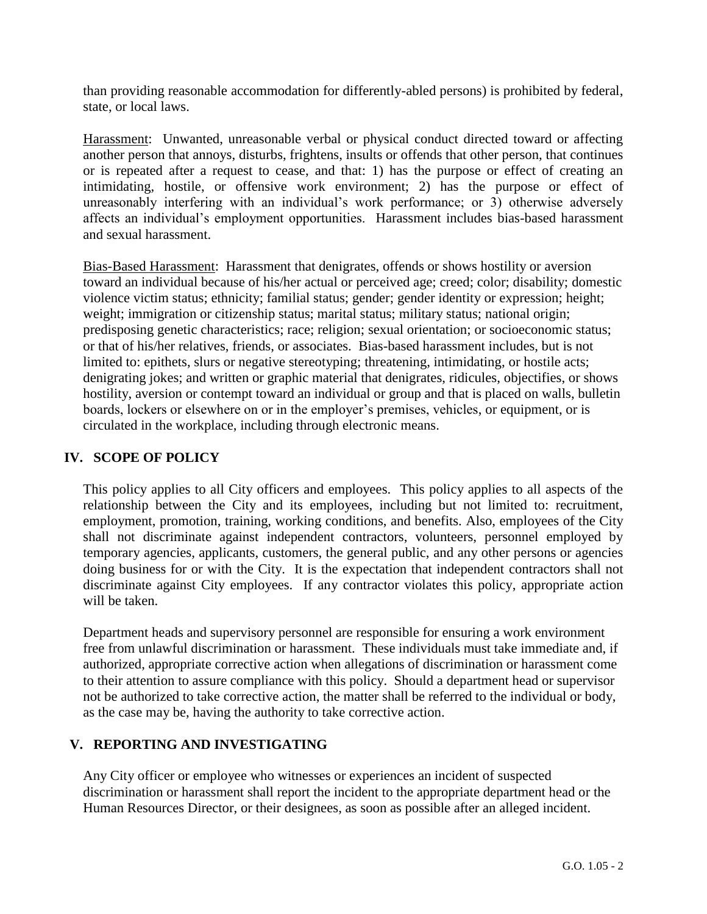than providing reasonable accommodation for differently-abled persons) is prohibited by federal, state, or local laws.

Harassment: Unwanted, unreasonable verbal or physical conduct directed toward or affecting another person that annoys, disturbs, frightens, insults or offends that other person, that continues or is repeated after a request to cease, and that: 1) has the purpose or effect of creating an intimidating, hostile, or offensive work environment; 2) has the purpose or effect of unreasonably interfering with an individual's work performance; or 3) otherwise adversely affects an individual's employment opportunities. Harassment includes bias-based harassment and sexual harassment.

Bias-Based Harassment: Harassment that denigrates, offends or shows hostility or aversion toward an individual because of his/her actual or perceived age; creed; color; disability; domestic violence victim status; ethnicity; familial status; gender; gender identity or expression; height; weight; immigration or citizenship status; marital status; military status; national origin; predisposing genetic characteristics; race; religion; sexual orientation; or socioeconomic status; or that of his/her relatives, friends, or associates. Bias-based harassment includes, but is not limited to: epithets, slurs or negative stereotyping; threatening, intimidating, or hostile acts; denigrating jokes; and written or graphic material that denigrates, ridicules, objectifies, or shows hostility, aversion or contempt toward an individual or group and that is placed on walls, bulletin boards, lockers or elsewhere on or in the employer's premises, vehicles, or equipment, or is circulated in the workplace, including through electronic means.

# **IV. SCOPE OF POLICY**

This policy applies to all City officers and employees. This policy applies to all aspects of the relationship between the City and its employees, including but not limited to: recruitment, employment, promotion, training, working conditions, and benefits. Also, employees of the City shall not discriminate against independent contractors, volunteers, personnel employed by temporary agencies, applicants, customers, the general public, and any other persons or agencies doing business for or with the City. It is the expectation that independent contractors shall not discriminate against City employees. If any contractor violates this policy, appropriate action will be taken.

Department heads and supervisory personnel are responsible for ensuring a work environment free from unlawful discrimination or harassment. These individuals must take immediate and, if authorized, appropriate corrective action when allegations of discrimination or harassment come to their attention to assure compliance with this policy. Should a department head or supervisor not be authorized to take corrective action, the matter shall be referred to the individual or body, as the case may be, having the authority to take corrective action.

# **V. REPORTING AND INVESTIGATING**

Any City officer or employee who witnesses or experiences an incident of suspected discrimination or harassment shall report the incident to the appropriate department head or the Human Resources Director, or their designees, as soon as possible after an alleged incident.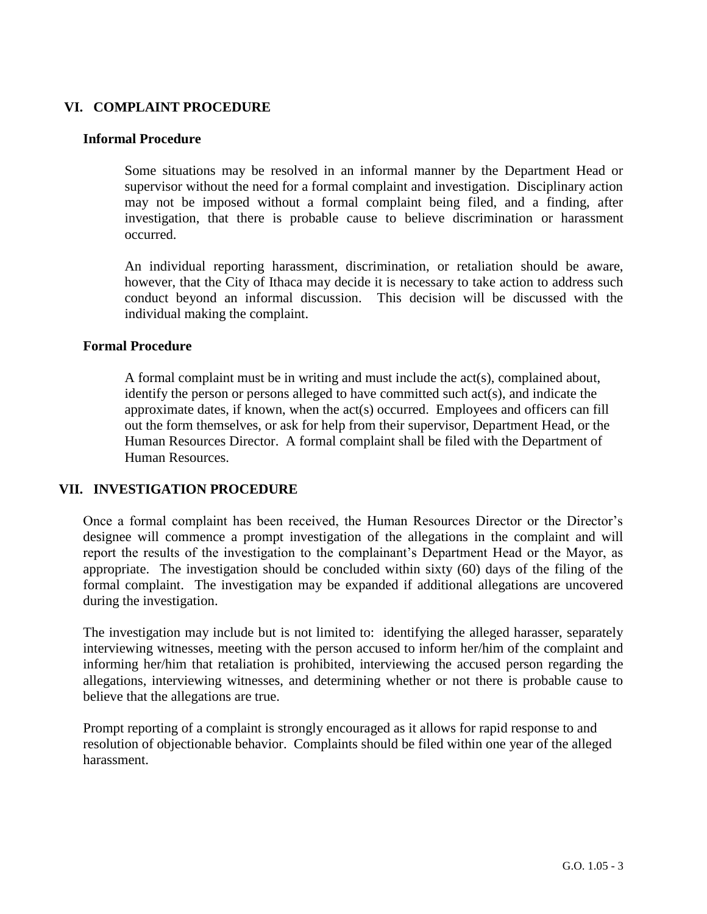# **VI. COMPLAINT PROCEDURE**

### **Informal Procedure**

Some situations may be resolved in an informal manner by the Department Head or supervisor without the need for a formal complaint and investigation. Disciplinary action may not be imposed without a formal complaint being filed, and a finding, after investigation, that there is probable cause to believe discrimination or harassment occurred.

An individual reporting harassment, discrimination, or retaliation should be aware, however, that the City of Ithaca may decide it is necessary to take action to address such conduct beyond an informal discussion. This decision will be discussed with the individual making the complaint.

### **Formal Procedure**

A formal complaint must be in writing and must include the act(s), complained about, identify the person or persons alleged to have committed such act(s), and indicate the approximate dates, if known, when the act(s) occurred. Employees and officers can fill out the form themselves, or ask for help from their supervisor, Department Head, or the Human Resources Director. A formal complaint shall be filed with the Department of Human Resources.

## **VII. INVESTIGATION PROCEDURE**

Once a formal complaint has been received, the Human Resources Director or the Director's designee will commence a prompt investigation of the allegations in the complaint and will report the results of the investigation to the complainant's Department Head or the Mayor, as appropriate. The investigation should be concluded within sixty (60) days of the filing of the formal complaint. The investigation may be expanded if additional allegations are uncovered during the investigation.

The investigation may include but is not limited to: identifying the alleged harasser, separately interviewing witnesses, meeting with the person accused to inform her/him of the complaint and informing her/him that retaliation is prohibited, interviewing the accused person regarding the allegations, interviewing witnesses, and determining whether or not there is probable cause to believe that the allegations are true.

Prompt reporting of a complaint is strongly encouraged as it allows for rapid response to and resolution of objectionable behavior. Complaints should be filed within one year of the alleged harassment.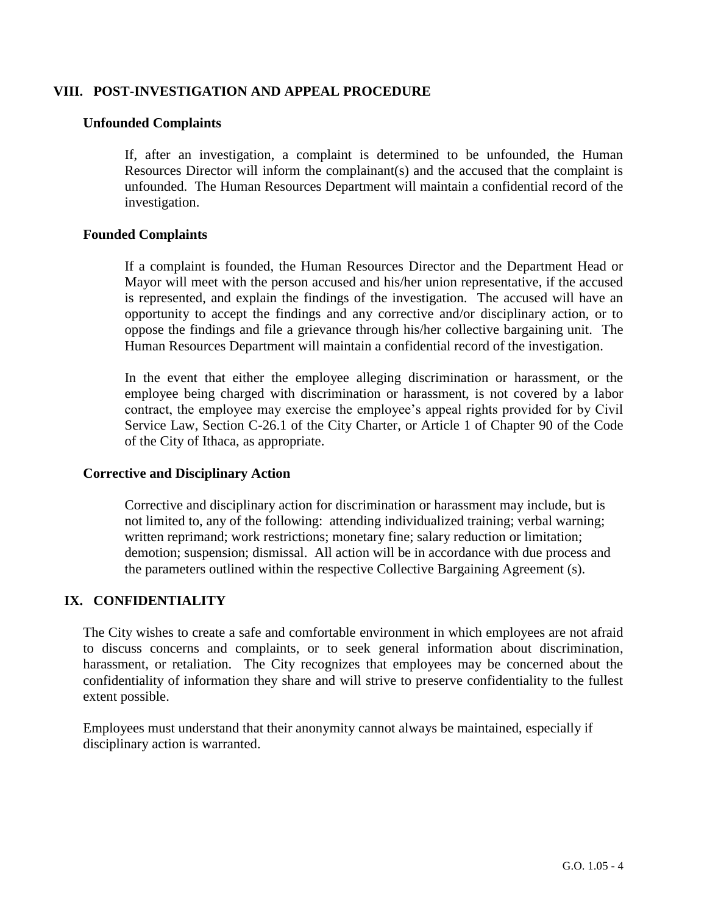## **VIII. POST-INVESTIGATION AND APPEAL PROCEDURE**

#### **Unfounded Complaints**

If, after an investigation, a complaint is determined to be unfounded, the Human Resources Director will inform the complainant(s) and the accused that the complaint is unfounded. The Human Resources Department will maintain a confidential record of the investigation.

#### **Founded Complaints**

If a complaint is founded, the Human Resources Director and the Department Head or Mayor will meet with the person accused and his/her union representative, if the accused is represented, and explain the findings of the investigation. The accused will have an opportunity to accept the findings and any corrective and/or disciplinary action, or to oppose the findings and file a grievance through his/her collective bargaining unit. The Human Resources Department will maintain a confidential record of the investigation.

In the event that either the employee alleging discrimination or harassment, or the employee being charged with discrimination or harassment, is not covered by a labor contract, the employee may exercise the employee's appeal rights provided for by Civil Service Law, Section C-26.1 of the City Charter, or Article 1 of Chapter 90 of the Code of the City of Ithaca, as appropriate.

#### **Corrective and Disciplinary Action**

Corrective and disciplinary action for discrimination or harassment may include, but is not limited to, any of the following: attending individualized training; verbal warning; written reprimand; work restrictions; monetary fine; salary reduction or limitation; demotion; suspension; dismissal. All action will be in accordance with due process and the parameters outlined within the respective Collective Bargaining Agreement (s).

## **IX. CONFIDENTIALITY**

The City wishes to create a safe and comfortable environment in which employees are not afraid to discuss concerns and complaints, or to seek general information about discrimination, harassment, or retaliation. The City recognizes that employees may be concerned about the confidentiality of information they share and will strive to preserve confidentiality to the fullest extent possible.

Employees must understand that their anonymity cannot always be maintained, especially if disciplinary action is warranted.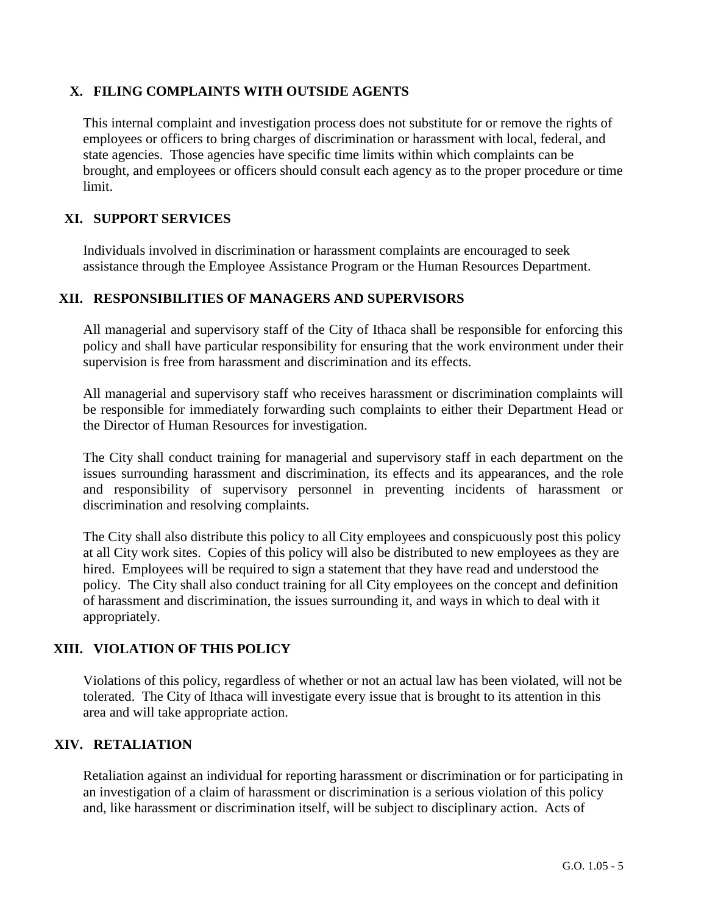# **X. FILING COMPLAINTS WITH OUTSIDE AGENTS**

This internal complaint and investigation process does not substitute for or remove the rights of employees or officers to bring charges of discrimination or harassment with local, federal, and state agencies. Those agencies have specific time limits within which complaints can be brought, and employees or officers should consult each agency as to the proper procedure or time limit.

# **XI. SUPPORT SERVICES**

Individuals involved in discrimination or harassment complaints are encouraged to seek assistance through the Employee Assistance Program or the Human Resources Department.

## **XII. RESPONSIBILITIES OF MANAGERS AND SUPERVISORS**

All managerial and supervisory staff of the City of Ithaca shall be responsible for enforcing this policy and shall have particular responsibility for ensuring that the work environment under their supervision is free from harassment and discrimination and its effects.

All managerial and supervisory staff who receives harassment or discrimination complaints will be responsible for immediately forwarding such complaints to either their Department Head or the Director of Human Resources for investigation.

The City shall conduct training for managerial and supervisory staff in each department on the issues surrounding harassment and discrimination, its effects and its appearances, and the role and responsibility of supervisory personnel in preventing incidents of harassment or discrimination and resolving complaints.

The City shall also distribute this policy to all City employees and conspicuously post this policy at all City work sites. Copies of this policy will also be distributed to new employees as they are hired. Employees will be required to sign a statement that they have read and understood the policy. The City shall also conduct training for all City employees on the concept and definition of harassment and discrimination, the issues surrounding it, and ways in which to deal with it appropriately.

## **XIII. VIOLATION OF THIS POLICY**

Violations of this policy, regardless of whether or not an actual law has been violated, will not be tolerated. The City of Ithaca will investigate every issue that is brought to its attention in this area and will take appropriate action.

## **XIV. RETALIATION**

Retaliation against an individual for reporting harassment or discrimination or for participating in an investigation of a claim of harassment or discrimination is a serious violation of this policy and, like harassment or discrimination itself, will be subject to disciplinary action. Acts of